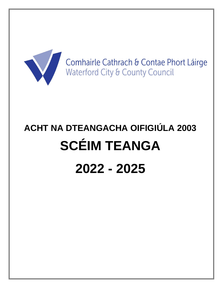

Comhairle Cathrach & Contae Phort Láirge Waterford City & County Council

# **ACHT NA DTEANGACHA OIFIGIÚLA 2003 SCÉIM TEANGA 2022 - 2025**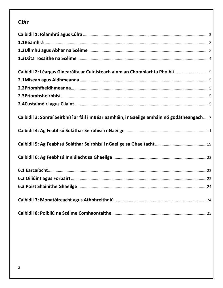## Clár

| Caibidil 2: Léargas Ginearálta ar Cuir isteach ainm an Chomhlachta Phoiblí  5              |  |
|--------------------------------------------------------------------------------------------|--|
|                                                                                            |  |
|                                                                                            |  |
|                                                                                            |  |
|                                                                                            |  |
| Caibidil 3: Sonraí Seirbhísí ar fáil i mBéarlaamháin, i nGaeilge amháin nó godátheangach 7 |  |
|                                                                                            |  |
|                                                                                            |  |
|                                                                                            |  |
|                                                                                            |  |
|                                                                                            |  |
|                                                                                            |  |
|                                                                                            |  |
|                                                                                            |  |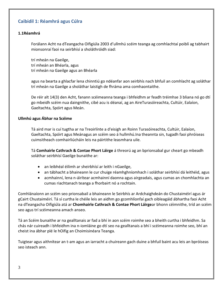## <span id="page-2-0"></span>**Caibidil 1: Réamhrá agus Cúlra**

#### <span id="page-2-1"></span>**1.1Réamhrá**

Forálann Acht na dTeangacha Oifigiúla 2003 d'ullmhú scéim teanga ag comhlachtaí poiblí ag tabhairt mionsonraí faoi na seirbhísí a sholáthróidh siad:

trí mheán na Gaeilge, trí mheán an Bhéarla, agus trí mheán na Gaeilge agus an Bhéarla

agus na bearta a ghlacfar lena chinntiú go ndéanfar aon seirbhís nach bhfuil an comhlacht ag soláthar trí mheán na Gaeilge a sholáthar laistigh de fhráma ama comhaontaithe.

De réir alt 14(3) den Acht, fanann scéimeanna teanga i bhfeidhm ar feadh tréimhse 3 bliana nó go dtí go mbeidh scéim nua daingnithe, cibé acu is déanaí, ag an AireTurasóireachta, Cultúir, Ealaíon, Gaeltachta, Spóirt agus Meán.

#### <span id="page-2-2"></span>**Ullmhú agus Ábhar na Scéime**

Tá aird mar is cuí tugtha ar na Treoirlínte a d'eisigh an Roinn Turasóireachta, Cultúir, Ealaíon, Gaeltachta, Spóirt agus Meánagus an scéim seo á hullmhú.Ina theannta sin, tugadh faoi phróiseas cuimsitheach comhairliúcháin leis na páirtithe leasmhara uile.

Tá **Comhairle Cathrach & Contae Phort Láirge** á threorú ag an bprionsabal gur cheart go mbeadh soláthar seirbhísí Gaeilge bunaithe ar:

- an leibhéal éilimh ar sheirbhísí ar leith i nGaeilge,
- an tábhacht a bhaineann le cur chuige réamhghníomhach i soláthar seirbhísí dá leithéid, agus
- acmhainní, lena n-áirítear acmhainní daonna agus airgeadais, agus cumas an chomhlachta an cumas riachtanach teanga a fhorbairt nó a rochtain.

Comhlánaíonn an scéim seo prionsabail a bhaineann le Seirbhís ar Ardchaighdeán do Chustaiméirí agus ár gCairt Chustaiméirí. Tá sí curtha le chéile leis an aidhm go gcomhlíonfaí gach oibleagáid ábhartha faoi Acht na dTeangacha Oifigiúla atá ar **Chomhairle Cathrach & Contae Phort Láirge**ar bhonn céimnithe, tríd an scéim seo agus trí scéimeanna amach anseo.

Tá an Scéim bunaithe ar na gealltanais ar fad a bhí in aon scéim roimhe seo a bheith curtha i bhfeidhm. Sa chás nár cuireadh i bhfeidhm ina n-iomláine go dtí seo na gealltanais a bhí i scéimeanna roimhe seo, bhí an cheist ina ábhar plé le hOifig an Choimisinéara Teanga.

Tuigtear agus aithnítear an t-am agus an iarracht a chuireann gach duine a bhfuil baint acu leis an bpróiseas seo isteach ann.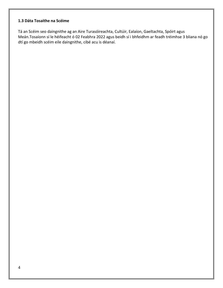## <span id="page-3-0"></span>**1.3 Dáta Tosaithe na Scéime**

<span id="page-3-1"></span>Tá an Scéim seo daingnithe ag an Aire Turasóireachta, Cultúir, Ealaíon, Gaeltachta, Spóirt agus Meán.Tosaíonn sí le héifeacht ó 02 Feabhra 2022 agus beidh sí i bhfeidhm ar feadh tréimhse 3 bliana nó go dtí go mbeidh scéim eile daingnithe, cibé acu is déanaí.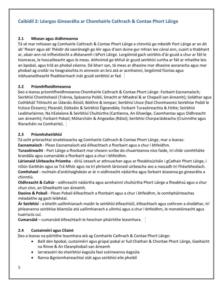## **Caibidil 2: Léargas Ginearálta ar Chomhairle Cathrach & Contae Phort Láirge**

### <span id="page-4-0"></span>**2.1 Misean agus Aidhmeanna**

Tá sé mar mhisean ag Comhairle Cathrach & Contae Phort Láirge a chinntiú go mbeidh Port Láirge ar an áit ab' fhearr agus ab' fhéidir dá saoránaigh go léir agus d'aon duine gur mhian leo cónaí ann, cuairt a thabhairt ar, obair ann nó infheistíocht a dhéanamh i bPort Láirge. Lorgóimid gach seirbhís d'ár gcuid a chur ar fáil le hionracas, le hoscailteacht agus le meas. Aithnímid go bhfuil ár gcuid seirbhísí curtha ar fáil ar mhaithe leis an bpobal, agus tríd an phobal céanna. Dá bharr san, tá meas ar dhaoine mar dhaoine aonaracha agus mar phobail ag croílár na heagraíochta.In ainneoin an brú atá ar acmhainní, lorgóimid fiúntas agus inbhuanaitheacht fhadtéarmach inár gcuid seirbhísí ar fad.

## <span id="page-4-1"></span>**2.2 Príomhfheidhmeanna**

Seo a leanas príomhfheidhmeanna Chomhairle Cathrach & Contae Phort Láirge: Forbairt Eacnamaíoch; Seirbhísí Chomhshaoil (Tránna, Spásanna Poiblí, Smacht ar Mhadraí & ar Chapaill san áireamh); Soláthar agus Cothbháil Tithíocht an Údaráis Áitiúil; Bóithre & Iompar; Seirbhísí Uisce (faoi Chomhaontú Seirbhíse Poiblí le hUisce Éireann); Pleanáil; Dóiteáin & Seirbhísí Éigeandála; Forbairt Turasóireachta & Féilte; Seirbhísí Leabharlainne; Na hEalaíona & Seirbhísí Chultúrtha (Cartlanna, An Ghaeilge, Caomhantas agus Oidhreacht san áireamh); Forbairt Pobail; Mótarcháin & Airgeadas (Rátaí); Seirbhísí Chorparáideacha (Cruinnithe agus Riaracháin na Comhairle).

## <span id="page-4-2"></span>**2.3 Príomhsheirbhísí**

Tá ocht príorachtaí straitéiseacha ag Comhairle Cathrach & Contae Phort Láirge, mar a leanas:

**Eacnamaíoch** - Plean Eacnamaíoch atá éifeachtach a fhorbairt agus a chur i bhfeidhm.

**Turasóireacht** - Port Láirge a fhorbairt mar cheann scríbe do chuairteanna níos faide, trí chlár comhtháite brandála agus cumarsáide a fhorbairt agus a chur i bhfeidhm.

**Lárionaid Uirbeacha Príomha** - díriú isteach ar athnuachan agus ar fheabhsúcháin i gCathair Phort Láirge, i nDún Garbhán agus sa Trá Mhór agus na trí phríomh lárionaid uirbeacha seo a nascadh trí Fhéarbhealach. **Comhshaol** - rochtain d'ardchaighdeán ar ár n-oidhreacht nádúrtha agus forbairt áiseanna go ginearálta a chinntiú.

**Oidhreacht & Cultúr** - oidhreacht nádúrtha agus acmhainní chultúrtha Phort Láirge a fheabhsú agus a chur chun cinn, an Ghaeltacht san áireamh.

**Daoine & Pobail** - Plean Pobail éifeachtach a fhorbairt agus a chur i bhfeidhm, le comhpháirteachas méadaithe ag gach leibhéal.

**Ár Seirbhísí** - a bheith uaillmhianach maidir le seirbhísí éifeachtúil, éifeachtach agus cothrom a sholáthar, trí phleananna seirbhíse bliantúla atá uaillmhianach a ullmhú agus a chur i bhfeidhm, le monatóireacht agus tuairisciú cuí.

**Cumarsáid** – cumarsáid éifeachtach le heochair-pháirtithe leasmhara.

## <span id="page-4-3"></span>**2.4 Custaiméirí agus Cliaint**

Seo a leanas na páirtithe leasmhara atá ag Comhairle Cathrach & Contae Phort Láirge:

- Baill den bpobal, custaiméirí agus grúpaí pobal ar fud Chathair & Chontae Phort Láirge, Gaeltacht na Rinne & An tSeanphobail san áireamh
- Iarratasóirí do sheirbhísí éagsúla faoi scéimeanna éagsúla
- Ranna &gníomhaireachtaí stát agus seirbhísí eile phoiblí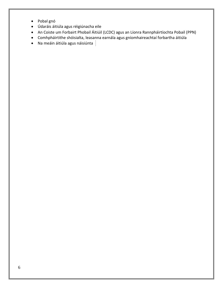- Pobal gnó
- Údaráis áitiúla agus réigiúnacha eile
- An Coiste um Forbairt Phobail Áitiúil (LCDC) agus an Líonra Rannpháirtíochta Pobail (PPN)
- Comhpháirtithe shóisialta, leasanna earnála agus gníomhaireachtaí forbartha áitiúla
- <span id="page-5-0"></span> $\bullet$  Na meáin áitiúla agus náisiúnta  $\parallel$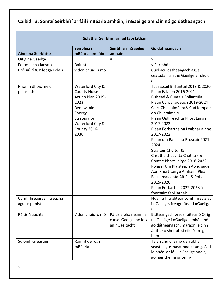## **Caibidil 3: Sonraí Seirbhísí ar fáil imBéarla amháin, i nGaeilge amháin nó go dátheangach**

| Soláthar Seirbhísí ar fáil faoi láthair   |                                                                                                                                                        |                                                                  |                                                                                                                                                                                                                                                                                                                                                                                                                                                                                                                                                                                                      |  |  |
|-------------------------------------------|--------------------------------------------------------------------------------------------------------------------------------------------------------|------------------------------------------------------------------|------------------------------------------------------------------------------------------------------------------------------------------------------------------------------------------------------------------------------------------------------------------------------------------------------------------------------------------------------------------------------------------------------------------------------------------------------------------------------------------------------------------------------------------------------------------------------------------------------|--|--|
| Ainm na Seirbhíse                         | Seirbhísí i<br>mBéarla amháin                                                                                                                          | Seirbhísí i nGaeilge<br>amháin                                   | Go dátheangach                                                                                                                                                                                                                                                                                                                                                                                                                                                                                                                                                                                       |  |  |
| Oifig na Gaeilge                          |                                                                                                                                                        | $\sqrt{ }$                                                       | $\sqrt{ }$                                                                                                                                                                                                                                                                                                                                                                                                                                                                                                                                                                                           |  |  |
| Foirmeacha Iarratais                      | Roinnt                                                                                                                                                 |                                                                  | √ Furmhór                                                                                                                                                                                                                                                                                                                                                                                                                                                                                                                                                                                            |  |  |
| Bróisiúirí & Bileoga Eolais               | V don chuid is mó                                                                                                                                      |                                                                  | Cuid acu dátheangach agus<br>céatadán áirithe Gaeilge ar chuid<br>eile                                                                                                                                                                                                                                                                                                                                                                                                                                                                                                                               |  |  |
| Príomh dhoiciméidí<br>polasaithe          | Waterford City &<br><b>County Noise</b><br>Action Plan 2019-<br>2023<br>Renewable<br>Energy<br>Strategyfor<br>Waterford City &<br>County 2016-<br>2030 |                                                                  | Tuarascáil Bhliantúil 2019 & 2020<br>Plean Ealaíon 2016-2021<br>Buiséad & Cuntais Bhliantúla<br>Plean Corparáideach 2019-2024<br>Cairt Chustaiméara& Cód Iompair<br>do Chustaiméirí<br>Plean Oidhreachta Phort Láirge<br>2017-2022<br>Plean Forbartha na Leabharlainne<br>2017-2022<br>Plean um Bainistiú Bruscair 2021-<br>2024<br>Straitéis Chultúir&<br>Chruthaitheachta Chathair &<br>Contae Phort Láirge 2018-2022<br>Polasaí Um Plaisteach Aonúsáide<br>Aon Phort Láirge Amháin: Plean<br>Eacnamaíochta Áitiúil & Pobail<br>2015-2020<br>Plean Forbartha 2022-2028 á<br>fhorbairt faoi láthair |  |  |
| Comhfhreagras (litreacha<br>agus r-phoist |                                                                                                                                                        |                                                                  | Nuair a fhaightear comhfhreagras<br>i nGaeilge, freagraítear i nGaeilge                                                                                                                                                                                                                                                                                                                                                                                                                                                                                                                              |  |  |
| Ráitis Nuachta                            | V don chuid is mó                                                                                                                                      | Ráitis a bhaineann le<br>cúrsaí Gaeilge nó leis<br>an nGaeltacht | Eisítear gach preas ráiteas ó Oifig<br>na Gaeilge i nGaeilge amháin nó<br>go dátheangach, maraon le cinn<br>áirithe ó sheirbhísí eile ó am go<br>ham.                                                                                                                                                                                                                                                                                                                                                                                                                                                |  |  |
| Suíomh Gréasáin                           | Roinnt de fós i<br>mBéarla                                                                                                                             |                                                                  | Tá an chuid is mó den ábhar<br>seasta agus nascanna ar an gcéad<br>leibhéal ar fáil i nGaeilge anois,<br>go háirithe na príomh-                                                                                                                                                                                                                                                                                                                                                                                                                                                                      |  |  |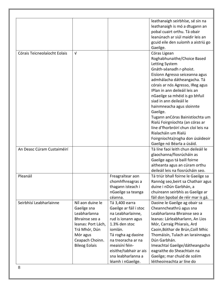| leathanaigh seirbhíse, sé sin na<br>leathanaigh is mó a dtugann an<br>pobal cuairt orthu. Tá obair<br>leanúnach ar siúl maidir leis an<br>gcuid eile den suíomh a aistriú go                                                                                                                                                                                                                                                                                                                                  |
|---------------------------------------------------------------------------------------------------------------------------------------------------------------------------------------------------------------------------------------------------------------------------------------------------------------------------------------------------------------------------------------------------------------------------------------------------------------------------------------------------------------|
| Gaeilge.                                                                                                                                                                                                                                                                                                                                                                                                                                                                                                      |
| Córas Ligean<br>Roghabhunaithe/Choice Based<br>Letting System<br>Gnáth-séanadh r-phoist.<br>Eisíonn Agresso seiceanna agus<br>admhálacha dátheangacha. Tá<br>córais ar nós Agresso, IReg agus<br>IPlan in ann deileáil leis an<br>nGaeilge sa mhéid is go bhfuil<br>siad in ann deileáil le<br>hainmneacha agus sloinnte<br>Gaeilge.<br>Tugann anCóras Bainistíochta um<br>Rialú Foirgníochta (an córas ar<br>líne d'fhorbróirí chun cloí leis na<br>Rialacháin um Rialú<br>Foirgníochta) rogha don úsáideoir |
| Gaeilge nó Béarla a úsáid.                                                                                                                                                                                                                                                                                                                                                                                                                                                                                    |
| Tá líne faoi leith chun deileáil le<br>glaochanna/fiosrúcháin as<br>Gaeilge agus tá baill foirne<br>aitheanta agus an cúram orthu<br>deileáil leis na fiosrúcháin seo.                                                                                                                                                                                                                                                                                                                                        |
| Tá triúr bhall foirne le Gaeilge sa<br>Rannóg seo, beirt sa Chathair agus<br>duine i nDún Garbhán, a<br>chuireann seirbhís as Gaeilge ar<br>fáil don bpobal de réir mar is gá.                                                                                                                                                                                                                                                                                                                                |
| Daoine le Gaeilge ag obair sa<br>Cheanncheathrú agus sna<br>Leabharlanna Bhrainse seo a<br>leanas: Lárleabharlann, An Lios<br>Mór, Carraig Phiarais, Ard<br>Caoin, Bóthar de Brún, Coill Mhic<br>Thomáisín, Tulach an Iarainnagus<br>Dún Garbhán.<br>Imeachtaí Gaeilge/dátheangacha<br>eagraithe do Sheachtain na<br>Gaeilge; mar chuid de scéim<br>léitheoireachta ar líne do                                                                                                                                |
|                                                                                                                                                                                                                                                                                                                                                                                                                                                                                                               |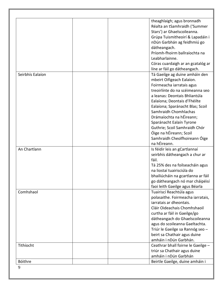|                  | theaghlaigh; agus bronnadh<br>Réalta an tSamhraidh ('Summer       |
|------------------|-------------------------------------------------------------------|
|                  | Stars') ar Ghaelscoileanna.                                       |
|                  | Grúpa Tuismitheoirí & Lapadáin i                                  |
|                  | nDún Garbhán ag feidhmiú go                                       |
|                  | dátheangach.                                                      |
|                  | Príomh-fhoirm ballraíochta na                                     |
|                  | Leabharlainne.                                                    |
|                  | Córas cuardaigh ar an gcatalóg ar<br>líne ar fáil go dátheangach. |
| Seirbhís Ealaíon | Tá Gaeilge ag duine amháin den                                    |
|                  | mbeirt Oifigeach Ealaíon.                                         |
|                  | Foirmeacha iarratais agus                                         |
|                  | treoirlínte do na scéimeanna seo                                  |
|                  | a leanas: Deontais Bhliantúla                                     |
|                  | Ealaíona; Deontais d'Fhéilte                                      |
|                  | Ealaíona; Sparánacht Blas; Scoil                                  |
|                  | Samhraidh Chomhlachas                                             |
|                  | Drámaíochta na hÉireann;                                          |
|                  | Sparánacht Ealaín Tyrone                                          |
|                  | Guthrie; Scoil Samhraidh Chór                                     |
|                  | Óige na hÉireann; Scoil                                           |
|                  | Samhraidh Cheolfhoireann Óige                                     |
| An Chartlann     | na hÉireann.                                                      |
|                  | Is féidir leis an gCartlannaí                                     |
|                  | seirbhís dátheangach a chur ar<br>fáil.                           |
|                  | Tá 25% des na foilseacháin agus                                   |
|                  | na liostaí tuairisciúla do                                        |
|                  | bhailiúcháin na gcartlanna ar fáil                                |
|                  | go dátheangach nó mar cháipéisí                                   |
|                  | faoi leith Gaeilge agus Béarla                                    |
| Comhshaol        | Tuairiscí Reachtúla agus                                          |
|                  | polasaithe. Foirmeacha iarratais,                                 |
|                  | iarratais ar dheontais.                                           |
|                  | Cláir Oideachais Chomhshaoil                                      |
|                  | curtha ar fáil in Gaeilge/go                                      |
|                  | dátheangach do Ghaelscoileanna                                    |
|                  | agus do scoileanna Gaeltachta.                                    |
|                  | Triúr le Gaeilge sa Rannóg seo -                                  |
|                  | beirt sa Chathair agus duine                                      |
|                  | amháin i nDún Garbhán.                                            |
| Tithíocht        | Ceathrar bhall foirne le Gaeilge -                                |
|                  | triúr sa Chathair agus duine                                      |
|                  | amháin i nDún Garbhán                                             |
| Bóithre          | Beirtle Gaeilge, duine amháin i                                   |
| 9                |                                                                   |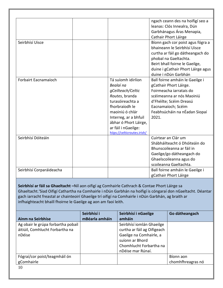|                          |                             | ngach ceann des na hoifigí seo a   |
|--------------------------|-----------------------------|------------------------------------|
|                          |                             | leanas: Clós Innealra, Dún         |
|                          |                             | Garbhánagus Áras Menapia,          |
|                          |                             | Cathair Phort Láirge               |
| Seirbhísí Uisce          |                             | Bíonn gach cor poist agus fógra a  |
|                          |                             | bhaineann le Seirbhísí Uisce       |
|                          |                             | curtha ar fáil go dátheangach do   |
|                          |                             | phobal na Gaeltachta.              |
|                          |                             | Beirt bhall foirne le Gaeilge,     |
|                          |                             | duine i gCathair Phort Láirge agus |
|                          |                             | duine i nDún Garbhán               |
| Forbairt Eacnamaíoch     | Tá suíomh idirlíon          | Ball foirne amháin le Gaeilge i    |
|                          | Bealaí na                   | gCathair Phort Láirge.             |
|                          | gCeilteach/Celtic           | Foirmeacha iarratais do            |
|                          | Routes, branda              | scéimeanna ar nós Maoiniú          |
|                          | turasóireachta a            | d'Fhéilte; Scéim Dreasú            |
|                          | fhorbraíodh le              | Eacnamaíoch; Scéim                 |
|                          | maoiniú ó chlár             | Feabhsúcháin na nÉadan Siopaí      |
|                          | Interreg, ar a bhfuil       | 2021.                              |
|                          | ábhar ó Phort Láirge,       |                                    |
|                          | ar fáil i nGaeilge:         |                                    |
|                          | hiips://celticroutes.irish/ |                                    |
| Seirbhísí Dóiteáin       |                             | Cuirtear an Clár um                |
|                          |                             | Shábháilteacht ó Dhóiteáin do      |
|                          |                             | Bhunscoileanna ar fáil in          |
|                          |                             | Gaeilge/go dátheangach do          |
|                          |                             | Ghaelscoileanna agus do            |
|                          |                             | scoileanna Gaeltachta.             |
| Seirbhísí Corparáideacha |                             | Ball foirne amháin le Gaeilge i    |
|                          |                             | gCathair Phort Láirge              |

**Seirbhísí ar fáil sa Ghaeltacht –**Níl aon oifigí ag Comhairle Cathrach & Contae Phort Láirge sa Ghaeltacht.'Siad Oifigí Cathartha na Comhairle i nDún Garbhán na hoifigí is cóngaraí don nGaeltacht. Déantar gach iarracht freastal ar chainteoirí Ghaeilge trí oifigí na Comhairle i nDún Garbhán, ag braith ar infhaighteacht bhaill fhoirne le Gaeilge ag aon am faoi leith.

| Ainm na Seirbhíse                                                               | Seirbhísí i<br>mBéarla amháin | Seirbhísí i nGaeilge<br>amháin                                                                                                                         | Go dátheangach    |
|---------------------------------------------------------------------------------|-------------------------------|--------------------------------------------------------------------------------------------------------------------------------------------------------|-------------------|
| Ag obair le grúpa forbartha pobail<br>áitiúil, Comhlucht Forbartha na<br>nDéise |                               | Seirbhísí iomlán Ghaeilge<br>curtha ar fáil ag Oifigeach<br>Gaeilge na Comhairle, a<br>suíonn ar Bhord<br>Chomhlucht Forbartha na<br>nDéise mar Rúnaí. |                   |
| Fógraí/cor poist/teagmháil ón                                                   |                               |                                                                                                                                                        | Bíonn aon         |
| gComhairle                                                                      |                               |                                                                                                                                                        | chomhfhreagras nó |
| 1 <sub>0</sub>                                                                  |                               |                                                                                                                                                        |                   |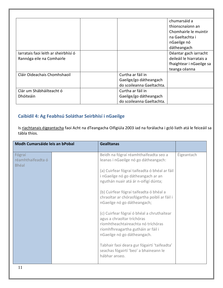|                                      |                           | chumarsáid a             |
|--------------------------------------|---------------------------|--------------------------|
|                                      |                           | thionscnaíonn an         |
|                                      |                           | Chomhairle le muintir    |
|                                      |                           | na Gaeltachta i          |
|                                      |                           | nGaeilge nó              |
|                                      |                           | dátheangach              |
| Jarratais faoi leith ar sheirbhísí ó |                           | Déantar gach iarracht    |
| Rannóga eile na Comhairle            |                           | deileáil le hiarratais a |
|                                      |                           | fhaightear i nGaeilge sa |
|                                      |                           | teanga céanna            |
| Cláir Oideachais Chomhshaoil         | Curtha ar fáil in         |                          |
|                                      | Gaeilge/go dátheangach    |                          |
|                                      | do scoileanna Gaeltachta. |                          |
| Clár um Shábháilteacht ó             | Curtha ar fáil in         |                          |
| <b>Dhóiteáin</b>                     | Gaeilge/go dátheangach    |                          |
|                                      | do scoileanna Gaeltachta. |                          |

╗

## <span id="page-10-0"></span>**Caibidil 4: Ag Feabhsú Soláthar Seirbhísí i nGaeilge**

Is <u>riachtanais éigeantacha</u> faoi Acht na dTeangacha Oifigiúla 2003 iad na forálacha i gcló liath atá le feiceáil sa tábla thíos.

| <b>Modh Cumarsáide leis an bPobal</b>       | <b>Gealltanas</b>                                                                                                                                                                   |            |
|---------------------------------------------|-------------------------------------------------------------------------------------------------------------------------------------------------------------------------------------|------------|
| Fógraí<br>réamhthaifeadta ó<br><b>Bhéal</b> | Beidh na fógraí réamhthaifeadta seo a<br>leanas i nGaeilge nó go dátheangach:                                                                                                       | Éigeantach |
|                                             | (a) Cuirfear fógraí taifeadta ó bhéal ar fáil<br>i nGaeilge nó go dátheangach ar an<br>nguthán nuair atá ár n-oifigí dúnta;                                                         |            |
|                                             | (b) Cuirfear fógraí taifeadta ó bhéal a<br>chraoltar ar chórasfógartha poiblí ar fáil i<br>nGaeilge nó go dátheangach;                                                              |            |
|                                             | (c) Cuirfear fógraí ó bhéal a chruthaítear<br>agus a chraoltar tríchóras<br>ríomhtheachtaireachta nó tríchóras<br>ríomhfhreagartha gutháin ar fáil i<br>nGaeilge nó go dátheangach. |            |
|                                             | Tabhair faoi deara gur fógairtí 'taifeadta'<br>seachas fógairtí 'beo' a bhaineann le<br>hábhar anseo.                                                                               |            |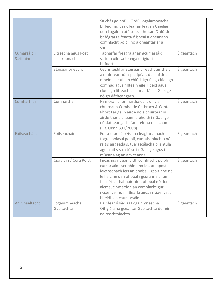| Cumarsáid i<br>Scríbhinn | Litreacha agus Post<br>Leictreonach | Sa chás go bhfuil Ordú Logainmneacha i<br>bhfeidhm, úsáidfear an leagan Gaeilge<br>den Logainm atá sonraithe san Ordú sin i<br>bhfógraí taifeadta ó bhéal a dhéanann<br>comhlacht poiblí nó a dhéantar ar a<br>shon.<br>Tabharfar freagra ar an gcumarsáid<br>scríofa uile sa teanga oifigiúil ina<br>bhfuarthas í.            | Éigeantach |
|--------------------------|-------------------------------------|--------------------------------------------------------------------------------------------------------------------------------------------------------------------------------------------------------------------------------------------------------------------------------------------------------------------------------|------------|
|                          | Stáiseanóireacht                    | Ceannteidil ar stáiseanóireacht áirithe ar<br>a n-áirítear nóta-pháipéar, duillíní dea-<br>mhéine, leatháin chlúdaigh facs, clúdaigh<br>comhad agus fillteáin eile, lipéid agus<br>clúdaigh litreach a chur ar fáil i nGaeilge<br>nó go dátheangach.                                                                           | Éigeantach |
| Comharthaí               | Comharthaí                          | Ní móran chomharthaíocht uilig a<br>chuireann Comhairle Cathrach & Contae<br>Phort Láirge in airde nó a chuirtear in<br>airde thar a cheann a bheith i nGaeilge<br>nó dátheangach, faoi réir na rialachán<br>(I.R. Uimh 391/2008).                                                                                             | Éigeantach |
| Foilseacháin             | Foilseacháin                        | Foilseofar cáipéisí ina leagtar amach<br>tograí polasaí poiblí, cuntais iniúchta nó<br>ráitis airgeadais, tuarascálacha bliantúla<br>agus ráitis straitéise i nGaeilge agus i<br>mBéarla ag an am céanna.                                                                                                                      | Éigeantach |
|                          | Ciorcláin / Cora Poist              | I gcás ina ndéanfaidh comhlacht poiblí<br>cumarsáid i scríbhinn nó leis an bpost<br>leictreonach leis an bpobal i gcoitinne nó<br>le haicme den phobal i gcoitinne chun<br>faisnéis a thabhairt don phobal nó don<br>aicme, cinnteoidh an comhlacht gur i<br>nGaeilge, nó i mBéarla agus i nGaeilge, a<br>bheidh an chumarsáid | Éigeantach |
| An Ghaeltacht            | Logainmneacha<br>Gaeltachta         | Bainfear úsáid as Logainmneacha<br>Oifigiúla na gceantar Gaeltachta de réir<br>na reachtaíochta.                                                                                                                                                                                                                               | Éigeantach |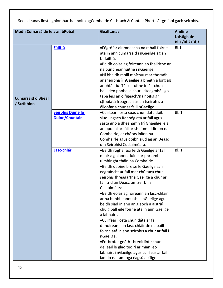Seo a leanas liosta gníomhartha molta agComhairle Cathrach & Contae Phort Láirge faoi gach seirbhís.

| <b>Modh Cumarsáide leis an bPobal</b>   |                                            | <b>Gealltanas</b>                                                                                                                                                                                                                                                                                                                                                                                                                                                                                                                                                                                                                                                   | <b>Amlíne</b><br>Laistigh de<br>Bl.1/Bl.2/Bl.3 |
|-----------------------------------------|--------------------------------------------|---------------------------------------------------------------------------------------------------------------------------------------------------------------------------------------------------------------------------------------------------------------------------------------------------------------------------------------------------------------------------------------------------------------------------------------------------------------------------------------------------------------------------------------------------------------------------------------------------------------------------------------------------------------------|------------------------------------------------|
| <b>Cumarsáid ó Bhéal</b><br>/ Scríbhinn | <b>Fáiltiú</b>                             | •Fógrófar ainmneacha na mball foirne<br>atá in ann cumarsáid i nGaeilge ag an<br>bhfáiltiú.<br>•Beidh eolas ag foireann an fháiltithe ar<br>na bunbheannuithe i nGaeilge.<br>.Ní bheidh moill mhíchuí mar thoradh<br>ar sheirbhísíi nGaeilge a bheith á lorg ag<br>anbhfáiltiú. Tá socruithe in áit chun<br>baill den phobal a chur i dteagmháil go<br>tapa leis an oifigeach/na hoifigigh<br>c(h) uíatá freagrach as an tseirbhís a<br>éileofar a chur ar fáili nGaeilge.                                                                                                                                                                                          | B.1                                            |
|                                         | Seirbhís Duine le<br><b>Duine/Chuntair</b> | •Cuirtear liosta suas chun dáta dóibh<br>siúd i ngach Rannóg atá ar fáil agus<br>sásta gnó a dhéanamh trí Ghaeilge leis<br>an bpobal ar fáil ar shuíomh idirlíon na<br>Comhairle; ar chóras inlíon na<br>Comhairle agus dóibh siúd ag an Deasc<br>um Seirbhísí Custaiméara.                                                                                                                                                                                                                                                                                                                                                                                         | BI.1                                           |
|                                         | Lasc-chlár                                 | •Beidh rogha faoi leith Gaeilge ar fáil<br>nuair a ghlaonn duine ar phríomh-<br>uimhir ghutháin na Comhairle.<br>•Beidh daoine breise le Gaeilge san<br>eagraíocht ar fáil mar chúltaca chun<br>seirbhís fhreagartha Gaeilge a chur ar<br>fáil tríd an Deasc um Seirbhísí<br>Custaiméara.<br>•Beidh eolas ag foireann an lasc-chláir<br>ar na bunbheannuithe i nGaeilge agus<br>beidh siad in ann an glaoch a aistriú<br>chuig ball eile foirne atá in ann Gaeilge<br>a labhairt.<br>•Cuirfear liosta chun dáta ar fáil<br>d'fhoireann an lasc-chláir de na baill<br>foirne atá in ann seirbhís a chur ar fáil i<br>nGaeilge.<br>•Forbrófar gnáth-threoirlínte chun | <b>Bl. 1</b>                                   |
|                                         |                                            | déileáil le glaoiteoirí ar mian leo<br>labhairt i nGaeilge agus cuirfear ar fáil<br>iad do na rannóga éagsúlaoifige                                                                                                                                                                                                                                                                                                                                                                                                                                                                                                                                                 |                                                |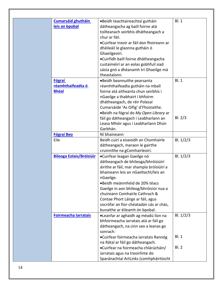| Cumarsáid ghutháin              | •Beidh teachtaireachtaí gutháin                      | <b>Bl. 1</b> |
|---------------------------------|------------------------------------------------------|--------------|
| leis an bpobal                  | dátheangacha ag baill foirne atá                     |              |
|                                 | toilteanach seirbhís dhátheangach a                  |              |
|                                 | chur ar fáil.                                        |              |
|                                 | •Cuirfear treoir ar fáil don fhoireann ar            |              |
|                                 | dhéileáil le glaonna gutháin ó                       |              |
|                                 | Ghaeilgeoirí.                                        |              |
|                                 | •Cuirfidh baill foirne dhátheangacha                 |              |
|                                 | custaiméirí ar an eolas gobhfuil siad                |              |
|                                 | sásta gnó a dhéanamh trí Ghaeilge má                 |              |
|                                 | theastaíonn.                                         |              |
| <b>Fógraí</b>                   | .Beidh beannuithe pearsanta                          | <b>BI.1</b>  |
| réamhthaifeadta ó               | réamhthaifeadta gutháin na mball                     |              |
| <b>Bhéal</b>                    | foirne atá aitheanta chun seirbhís i                 |              |
|                                 | nGaeilge a thabhairt i bhfoirm                       |              |
|                                 | dhátheangach, de réir Polasaí                        |              |
|                                 | Cumarsáide 'As Oifig' d'Fhostaithe.                  |              |
|                                 | •Beidh na fógraí do My Open Library ar               |              |
|                                 | fáil go dátheangach i Leabharlann an                 | BI. 2/3      |
|                                 | Leasa Mhóir agus i Leabharlann Dhún                  |              |
|                                 | Garbhán.                                             |              |
| <b>Fógraí Beo</b><br>Eile       | Ní bhaineann<br>Beidh cuirí a eiseoidh an Chomhairle |              |
|                                 | dátheangach, maraon le gairthe                       | Bl. $1/2/3$  |
|                                 | cruinnithe na gComhairleoirí.                        |              |
| <b>Bileoga Eolais/Bróisiúir</b> | •Cuirfear leagan Gaeilge nó                          | Bl. $1/2/3$  |
|                                 | dátheangach de bhileoga/bhróisiúirí                  |              |
|                                 | áirithe ar fáil, mar shampla bróisiúirí a            |              |
|                                 | bhaineann leis an nGaeltacht/leis an                 |              |
|                                 | nGaeilge.                                            |              |
|                                 | •Beidh meánmhéid de 20% téacs                        |              |
|                                 | Gaeilge in aon bhileog/bhróisiúr nua a               |              |
|                                 | chuireann Comhairle Cathrach &                       |              |
|                                 | Contae Phort Láirge ar fáil, agus                    |              |
|                                 | socrófar an fíor-chéatadán cás ar chás,              |              |
|                                 | bunaithe ar éileamh ón bpobal.                       |              |
| <b>Foirmeacha Iarratais</b>     | •Leanfar ar aghaidh ag méadú líon na                 | Bl. $1/2/3$  |
|                                 | bhfoirmeacha iarratais atá ar fáil go                |              |
|                                 | dátheangach, na cinn seo a leanas go                 |              |
|                                 | sonrach:                                             |              |
|                                 | •Cuirfear foirmeacha iarratais Rannóg                | <b>Bl. 1</b> |
|                                 | na Rátaí ar fáil go dátheangach.                     |              |
|                                 | •Cuirfear na foirmeacha chlárúcháin/                 | <b>BI.2</b>  |
|                                 | iarratais agus na treoirlínte do                     |              |
|                                 | Sparánachtaí ArtLinks (comhpháirtíocht               |              |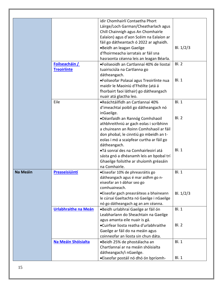|                 | Foilseacháin /<br><b>Treoirlínte</b> | idir Chomhairlí Contaetha Phort<br>Láirge/Loch Garman/Cheatharlach agus<br>Chill Chainnigh agus An Chomhairle<br>Ealaíon) agus d'aon Scéim na Ealaíon ar<br>fáil go dátheantach ó 2022 ar aghaidh.<br>.Beidh an leagan Gaeilge<br>d'fhoirmeacha iarratais ar fáil sna<br>hasraonta céanna leis an leagan Béarla.<br>•Foilseoidh an Cartlannaí 40% de liostaí<br>tuairisciúla na Cartlanna go<br>dátheangach.<br>·Foilseofar Polasaí agus Treoirlínte nua | Bl. $1/2/3$<br>BI.2<br>BI.1 |
|-----------------|--------------------------------------|----------------------------------------------------------------------------------------------------------------------------------------------------------------------------------------------------------------------------------------------------------------------------------------------------------------------------------------------------------------------------------------------------------------------------------------------------------|-----------------------------|
|                 |                                      | maidir le Maoiniú d'Fhéilte (atá á<br>fhorbairt faoi láthair) go dátheangach<br>nuair atá glactha leo.                                                                                                                                                                                                                                                                                                                                                   |                             |
|                 | Eile                                 | •Reáchtáilfidh an Cartlannaí 40%<br>d'imeachtaí poiblí go dátheangach nó<br>inGaeilge.                                                                                                                                                                                                                                                                                                                                                                   | BI.1                        |
|                 |                                      | •Déanfaidh an Rannóg Comhshaoil<br>athbhreithniú ar gach eolas i scríbhinn<br>a chuireann an Roinn Comhshaoil ar fáil<br>don phobal, le cinntiú go mbeidh an t-<br>eolas i mó a scaipfear curtha ar fáil go<br>dátheangach.                                                                                                                                                                                                                              | <b>Bl. 2</b>                |
|                 |                                      | •Tá sonraí des na Comhairleoirí atá<br>sásta gnó a dhéanamh leis an bpobal trí<br>Ghaeilge foilsithe ar shuíomh gréasáin<br>na Comhairle.                                                                                                                                                                                                                                                                                                                | BI.1                        |
| <b>Na Meáin</b> | Preaseisiúintí                       | • Eiseofar 10% de phreasráitis go<br>dátheangach agus é mar aidhm go n-<br>eiseofar an t-ábhar seo go<br>comhuaineach.                                                                                                                                                                                                                                                                                                                                   | <b>Bl. 1</b>                |
|                 |                                      | • Eiseofar gach preasráiteas a bhaineann<br>le cúrsaí Gaeltachta nó Gaeilge i nGaeilge<br>nó go dátheangach ag an am céanna.                                                                                                                                                                                                                                                                                                                             | Bl. $1/2/3$                 |
|                 | Urlabhraithe na Meán                 | •Beidh urlabhraí Gaeilge ar fáil ón<br>Leabharlann do Sheachtain na Gaeilge<br>agus amanta eile nuair is gá.                                                                                                                                                                                                                                                                                                                                             | <b>Bl. 1</b>                |
|                 |                                      | •Cuirfear liosta reatha d'urlabhraithe<br>Gaeilge ar fáil do na meáin agus<br>coinneofar an liosta sin chun dáta.                                                                                                                                                                                                                                                                                                                                        | <b>Bl. 2</b>                |
|                 | Na Meáin Shóisialta                  | •Beidh 25% de phostálacha an<br>Chartlannaí ar na meáin shóisialta<br>dátheangach/i nGaeilge.                                                                                                                                                                                                                                                                                                                                                            | <b>Bl. 1</b>                |
|                 |                                      | •Eiseofar postáil nó dhó ón bpríomh-                                                                                                                                                                                                                                                                                                                                                                                                                     | <b>Bl. 1</b>                |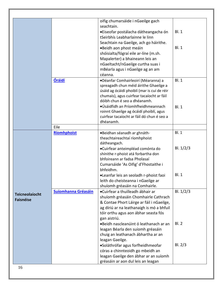|                       |                            | oifig chumarsáide i nGaeilge gach                       |              |
|-----------------------|----------------------------|---------------------------------------------------------|--------------|
|                       |                            | seachtain.                                              |              |
|                       |                            | •Eiseofar postálacha dátheangacha ón                    | <b>Bl. 1</b> |
|                       |                            | tSeirbhís Leabharlainne le linn                         |              |
|                       |                            | Seachtain na Gaeilge, ach go háirithe.                  |              |
|                       |                            | •Beidh aon phost meáin                                  | Bl.1         |
|                       |                            | shóisialta/fógraí eile ar-líne (m.sh.                   |              |
|                       |                            | Mapalerter) a bhaineann leis an                         |              |
|                       |                            | nGaeltacht/nGaeilge curtha suas i                       |              |
|                       |                            | mBéarla agus i nGaeilge ag an am                        |              |
|                       |                            | céanna.                                                 |              |
|                       | <b>Óráidí</b>              | ·Déanfar Comhairleoirí (Méaranna) a                     | <b>Bl. 1</b> |
|                       |                            | spreagadh chun méid áirithe Ghaeilge a                  |              |
|                       |                            | úsáid ag ócáidí phoiblí (mar is cuí de réir             |              |
|                       |                            | chumais), agus cuirfear tacaíocht ar fáil               |              |
|                       |                            | dóibh chun é seo a dhéanamh.                            |              |
|                       |                            | •Úsáidfidh an Príomhfheidhmeannach                      | BI.1         |
|                       |                            | roinnt Ghaeilge ag ócáidí phoiblí, agus                 |              |
|                       |                            | cuirfear tacaíocht ar fáil dó chun é seo a<br>dhéanamh. |              |
|                       | Eile                       |                                                         |              |
|                       | <b>Ríomhphoist</b>         | •Beidhan séanadh ar ghnáth-                             | <b>Bl. 1</b> |
|                       |                            | theachtaireachtaí ríomhphoist                           |              |
|                       |                            | dátheangach.                                            |              |
|                       |                            | •Cuirfear anteimpléad comónta do                        | Bl. $1/2/3$  |
|                       |                            | shínithe r-phoist atá forbartha don                     |              |
|                       |                            | bhfoireann ar fadsa Pholasaí                            |              |
|                       |                            | Cumarsáide 'As Oifig' d'Fhostaithe i                    |              |
|                       |                            | bhfeidhm.                                               |              |
|                       |                            | •Leanfar leis an seoladh r-phoist faoi                  | <b>BI.1</b>  |
|                       |                            | leith do cheisteanna i nGaeilge ar                      |              |
|                       |                            | shuíomh gréasáin na Comhairle.                          |              |
| <b>Teicneolaíocht</b> | <b>Suíomhanna Gréasáin</b> | •Cuirfear a thuilleadh ábhair ar                        | BI. 1/2/3    |
| <b>Faisnéise</b>      |                            | shuíomh gréasáin Chomhairle Cathrach                    |              |
|                       |                            | & Contae Phort Láirge ar fáil i nGaeilge,               |              |
|                       |                            | ag díriú ar na leathanaigh is mó a bhfuil               |              |
|                       |                            | tóir orthu agus aon ábhar seasta fós                    |              |
|                       |                            | gan aistriú.                                            |              |
|                       |                            | •Beidh nascleanúint ó leathanach ar an                  | BI.2         |
|                       |                            | leagan Béarla den suíomh gréasáin                       |              |
|                       |                            | chuig an leathanach ábhartha ar an                      |              |
|                       |                            | leagan Gaeilge.                                         |              |
|                       |                            | •Soláthrófar agus forfheidhmeofar                       | BI. 2/3      |
|                       |                            | córas a chinnteoidh go mbeidh an                        |              |
|                       |                            | leagan Gaeilge den ábhar ar an suíomh                   |              |
|                       |                            | gréasáin ar aon dul leis an leagan                      |              |
| 16                    |                            |                                                         |              |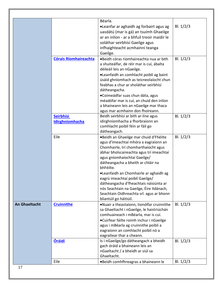|                      |                              | Béarla.                                                                      |             |
|----------------------|------------------------------|------------------------------------------------------------------------------|-------------|
|                      |                              | •Leanfar ar aghaidh ag forbairt agus ag                                      | Bl. $1/2/3$ |
|                      |                              | uasdátú (mar is gá) an tsuímh Ghaeilge                                       |             |
|                      |                              | ar an inlíon - ar a bhfuil treoir maidir le                                  |             |
|                      |                              | soláthar seirbhísí Gaeilge agus                                              |             |
|                      |                              | infhaighteacht acmhainní teanga                                              |             |
|                      |                              | Gaeilge.                                                                     |             |
|                      | <b>Córais Ríomhaireachta</b> | •Beidh córas ríomhaireachta nua ar bith                                      | Bl. $1/2/3$ |
|                      |                              | a shuiteálfar, de réir mar is cuí, ábalta                                    |             |
|                      |                              | déileáil leis an nGaeilge.                                                   |             |
|                      |                              | •Leanfaidh an comhlacht poiblí ag baint                                      |             |
|                      |                              | úsáid ghníomhach as teicneolaíocht chun                                      |             |
|                      |                              | feabhas a chur ar sholáthar seirbhísí                                        |             |
|                      |                              | dátheangacha.                                                                |             |
|                      |                              |                                                                              |             |
|                      |                              | •Coimeádfar suas chun dáta, agus<br>méadófar mar is cuí, an chuid den inlíon |             |
|                      |                              |                                                                              |             |
|                      |                              | a bhaineann leis an nGaeilge mar thaca<br>agus mar acmhainn don fhoireann.   |             |
|                      | <b>Seirbhísí</b>             | Beidh seirbhísí ar bith ar-líne agus                                         | Bl. $1/2/3$ |
|                      |                              | idirghníomhacha a fhorbraíonn an                                             |             |
|                      | Idirghníomhacha              | comhlacht poiblí féin ar fáil go                                             |             |
|                      |                              | dátheangach.                                                                 |             |
|                      | Eile                         | ·Beidh an Ghaeilge mar chuid d'Fhéilte                                       | Bl. $1/2/3$ |
|                      |                              | agus d'imeachtaí mhóra a eagraíonn an                                        |             |
|                      |                              | Chomhairle, trí chomharthaíocht agus                                         |             |
|                      |                              | ábhar bholscaireachta agus trí imeachtaí                                     |             |
|                      |                              | agus gníomhaíochtaí Gaeilge/                                                 |             |
|                      |                              | dátheangacha a bheith ar chláir na                                           |             |
|                      |                              | bhFéilte.                                                                    |             |
|                      |                              | ·Leanfaidh an Chomhairle ar aghaidh ag                                       |             |
|                      |                              | eagrú imeachtaí poiblí Gaeilge/                                              |             |
|                      |                              | dátheangacha d'fheachtais náisiúnta ar                                       |             |
|                      |                              | nós Seachtain na Gaeilge, Éire Ildánach,                                     |             |
|                      |                              | Seachtain Oidhreachta srl. agus ar bhonn                                     |             |
|                      |                              | bliantúil go háitiúil.                                                       |             |
| <b>An Ghaeltacht</b> | <b>Cruinnithe</b>            | .Nuair a theastaíonn, tionólfar cruinnithe                                   | BI. 1/2/3   |
|                      |                              | sa Ghaeltacht i nGaeilge, le haistriúchán                                    |             |
|                      |                              | comhuaineach i mBéarla, mar is cuí.                                          |             |
|                      |                              | •Cuirfear fáilte roimh inchur i nGaeilge                                     |             |
|                      |                              | agus i mBéarla ag cruinnithe poiblí a                                        |             |
|                      |                              | eagraíonn an comhlacht poiblí nó a                                           |             |
|                      |                              | eagraítear thar a cheann.                                                    |             |
|                      | <b>Óráidí</b>                | Is i nGaeilge/go dátheangach a bheidh                                        | Bl. $1/2/3$ |
|                      |                              | gach óráid a bhaineann leis an                                               |             |
|                      |                              |                                                                              |             |
|                      |                              | nGaeltacht / a bheidh ar siúl sa                                             |             |
|                      |                              | Ghaeltacht.                                                                  |             |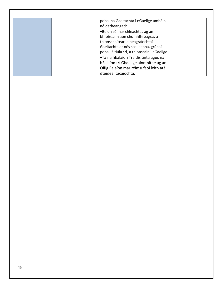<span id="page-17-0"></span>

| pobal na Gaeltachta i nGaeilge amháin        |
|----------------------------------------------|
| nó dátheangach.                              |
| •Beidh sé mar chleachtas ag an               |
| bhfoireann aon chomhfhreagras a              |
| thionscnaítear le heagraíochtaí              |
| Gaeltachta ar nós scoileanna, grúpaí         |
| pobail áitiúla srl, a thionscain i nGaeilge. |
| •Tá na hEalaíon Traidisiúnta agus na         |
| hEalaíon trí Ghaeilge ainmnithe ag an        |
| Oifig Ealaíon mar réimsí faoi leith atá i    |
| dteideal tacaíochta.                         |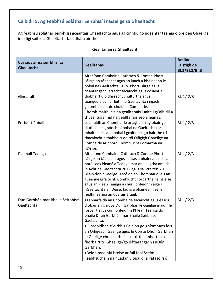## **Caibidil 5: Ag Feabhsú Soláthar Seirbhísí i nGaeilge sa Ghaeltacht**

Ag feabhsú soláthar seirbhísí i gceantair Ghaeltachta agus ag cinntiú go ndéanfar teanga oibre den Ghaeilge in oifigí suite sa Ghaeltacht faoi dháta áirithe.

| Cur síos ar na seirbhísí sa<br>Ghaeltacht      | <b>Gealltanas</b>                                                                                                                                                                                                                                                                                                                                                                                                                                                                                                                     | <b>Amlíne</b><br>Laistigh de<br>Bl.1/Bl.2/Bl.3 |
|------------------------------------------------|---------------------------------------------------------------------------------------------------------------------------------------------------------------------------------------------------------------------------------------------------------------------------------------------------------------------------------------------------------------------------------------------------------------------------------------------------------------------------------------------------------------------------------------|------------------------------------------------|
| Ginearálta                                     | Aithníonn Comhairle Cathrach & Contae Phort<br>Láirge an tábhacht agus an luach a bhaineann le<br>pobal na Gaeltachta i gCo. Phort Láirge agus<br>déanfar gach iarracht tacaíocht agus cosaint a<br>thabhairt d'oidhreacht chultúrtha agus<br>teangeolaíoch ar leith na Gaeltachta i ngach<br>gníomhaíocht de chuid na Comhairle.<br>Chomh maith leis na gealltanais luaite i gCaibidil 4<br>thuas, tugaimid na gealltanais seo a leanas:                                                                                             | Bl. $1/2/3$                                    |
| <b>Forbairt Pobail</b>                         | Leanfaidh an Chomhairle ar aghaidh ag obair go<br>dlúth le heagraíochtaí pobal na Gaeltachta ar<br>mhaithe leis an bpobal i gcoitinne, go háirithe trí<br>thacaíocht a thabhairt do ról Oifigigh Ghaeilge na<br>Comhairle ar bhord Chomhlucht Forbartha na<br>nDéise.                                                                                                                                                                                                                                                                 | Bl. 1/2/3                                      |
| Pleanáil Teanga                                | Aithníonn Comhairle Cathrach & Contae Phort<br>Láirge an tábhacht agus suntas a bhaineann leis an<br>bpróiseas Pleanála Teanga mar atá leagtha amach<br>in Acht na Gaeltachta 2012 agus sa Straitéis 20<br>Bliain don nGaeilge. Tacóidh an Chomhairle leis an<br>gCeanneagraíocht, Comhlucht Forbartha na nDéise<br>agus an Plean Teanga á chur i bhfeidhm aige i<br>nGaeltacht na nDéise, fad is a bhaineann sé le<br>feidhmeanna an údaráis áitiúil.                                                                                | Bl. $1/2/3$                                    |
| Dún Garbhán mar Bhaile Seirbhíse<br>Gaeltachta | •Tabharfaidh an Chomhairle tacaíocht agus éascú<br>d'obair an ghrúpa Dún Garbhán le Gaeilge maidir le<br>forbairt agus cur i bhfeidhm Phlean Teanga do<br>bhaile Dhún Garbhán mar Bhaile Seirbhíse<br>Gaeltachta.<br>•Oibreoidhan tSeirbhís Ealaíon go gníomhach leis<br>an Oifigeach Gaeilge agus le Coiste Dhún Garbhán<br>le Gaeilge chun seirbhísí cultúrtha ábhartha a<br>fhorbairt trí Ghaeilge/go dátheangach i nDún<br>Garbhán.<br>•Beidh maoiniú breise ar fáil faoi Scéim<br>Feabhsúcháin na nÉadan Siopaí d'iarratasóirí ó | Bl. $1/2/3$                                    |

#### **Gealltanaissa Ghaeltacht**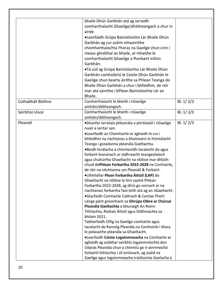|                    | bhaile Dhún Garbhán atá ag iarraidh                                                                |             |
|--------------------|----------------------------------------------------------------------------------------------------|-------------|
|                    | comharthaíocht Ghaeilge/dhátheangach a chur in                                                     |             |
|                    | airde.                                                                                             |             |
|                    | •Leanfaidh Grúpa Bainistíochta Lár Bhaile Dhún                                                     |             |
|                    | Garbhán ag cur scéim mhaoinithe                                                                    |             |
|                    | chomharthaíochta Fhoras na Gaeilge chun cinn i                                                     |             |
|                    | measc ghnóthaí an bhaile, ar mhaithe le                                                            |             |
|                    | comharthaíocht Ghaeilge a fhorbairt in Dún                                                         |             |
|                    | Garbhán.                                                                                           |             |
|                    | •Tá súil ag Grúpa Bainistíochta Lár Bhaile Dhún                                                    |             |
|                    | Garbhán comhoibriú le Coiste Dhún Garbhán le                                                       |             |
|                    | Gaeilge chun bearta áirithe sa Phlean Teanga do                                                    |             |
|                    | Bhaile Dhún Garbhán a chur i bhfeidhm, de réir                                                     |             |
|                    | mar atá sainithe i bPlean Bainistíochta Lár an                                                     |             |
|                    | Bhaile.                                                                                            |             |
| Cothabháil Bóithre | Comharthaíocht le bheith i nGaeilge                                                                | Bl. $1/2/3$ |
|                    | amháin/dátheangach.                                                                                |             |
| Seirbhísí Uisce    | Comharthaíocht le bheith i nGaeilge                                                                | Bl. $1/2/3$ |
|                    | amháin/dátheangach.                                                                                |             |
| Pleanáil           | ·Déanfar iarratais phleanála a phróiseáil i nGaeilge                                               | Bl. $1/2/3$ |
|                    | nuair a iarrtar san.                                                                               |             |
|                    | ·Leanfaidh an Chomhairle ar aghaidh le cur i<br>bhfeidhm na riachtanas a bhaineann le hInniúlacht  |             |
|                    | Teanga i gceadanna pleanála Gaeltachta.                                                            |             |
|                    | •Beidh forálacha a chinnteoidh tacaíocht do agus                                                   |             |
|                    | forbairt leanúnach ar oidhreacht teangeolaíoch                                                     |             |
|                    | agus chultúrtha Ghaeltacht na nDéise mar dhlúth-                                                   |             |
|                    | chuid dePhlean Forbartha 2022-2028 na Comhairle,                                                   |             |
|                    | de réir na nAchtanna um Pleanáil & Forbairt.                                                       |             |
|                    | •Ullmhófar Plean Forbartha Áitiúil (LAP) do                                                        |             |
|                    | Ghaeltacht na nDéise le linn saolré Phlean                                                         |             |
|                    | Forbartha 2022-2028, ag díriú go sonrach ar na                                                     |             |
|                    | riachtanais forbartha faoi leith atá ag an nGaeltacht.                                             |             |
|                    | •Glacfaidh Comhairle Cathrach & Contae Phort                                                       |             |
|                    | Láirge páirt gníomhach sa Ghrúpa Oibre ar Chúrsaí                                                  |             |
|                    | Pleanála Gaeltachta a bhunaigh An Roinn                                                            |             |
|                    | Tithíochta, Rialtais Áitiúil agus Oidhreachta sa                                                   |             |
|                    | bhliain 2021.                                                                                      |             |
|                    | Tabharfaidh Oifig na Gaeilge comhairle agus                                                        |             |
|                    | tacaíocht do Rannóg Pleanála na Comhairle i dtaca                                                  |             |
|                    | le polasaithe pleanála sa Ghaeltacht.                                                              |             |
|                    | ·Leanfaidh Coiste Logainmneacha na Comhairle ar                                                    |             |
|                    | aghaidh ag soláthar seirbhís logainmníochta don<br>Údarás Pleanála chun a chinntiú go n-ainmneofaí |             |
|                    | forbairtí tithíochta i slí oiriúnach, ag úsáid na                                                  |             |
|                    | Gaeilge agus logainmneacha traidisúnta Gaelacha a                                                  |             |
|                    |                                                                                                    |             |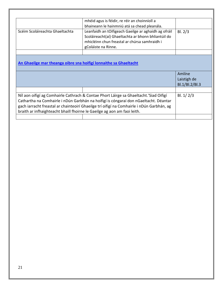|                                                                                           | mhéid agus is féidir, re réir an choinníoll a        |                |  |
|-------------------------------------------------------------------------------------------|------------------------------------------------------|----------------|--|
|                                                                                           | bhaineann le hainmniú atá sa chead pleanála.         |                |  |
| Scéim Scoláireachta Ghaeltachta                                                           | Leanfaidh an tOifigeach Gaeilge ar aghaidh ag ofráil | BI. 2/3        |  |
|                                                                                           | Scoláireacht(aí) Ghaeltachta ar bhonn bhliantúil do  |                |  |
|                                                                                           | mhicléinn chun freastal ar chúrsa samhraidh i        |                |  |
|                                                                                           | gColáiste na Rinne.                                  |                |  |
|                                                                                           |                                                      |                |  |
| An Ghaeilge mar theanga oibre sna hoifigí lonnaithe sa Ghaeltacht                         |                                                      |                |  |
|                                                                                           | Amlíne                                               |                |  |
|                                                                                           | Laistigh de                                          |                |  |
|                                                                                           |                                                      | Bl.1/Bl.2/Bl.3 |  |
|                                                                                           |                                                      |                |  |
| Níl aon oifigí ag Comhairle Cathrach & Contae Phort Láirge sa Ghaeltacht. 'Siad Oifigí    | Bl. $1/2/3$                                          |                |  |
| Cathartha na Comhairle i nDún Garbhán na hoifigí is cóngaraí don nGaeltacht. Déantar      |                                                      |                |  |
| gach iarracht freastal ar chainteoirí Ghaeilge trí oifigí na Comhairle i nDún Garbhán, ag |                                                      |                |  |
| braith ar infhaighteacht bhaill fhoirne le Gaeilge ag aon am faoi leith.                  |                                                      |                |  |
|                                                                                           |                                                      |                |  |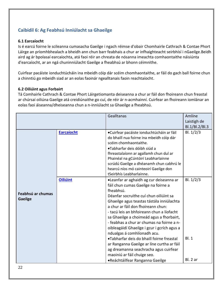## <span id="page-21-0"></span>**Caibidil 6: Ag Feabhsú Inniúlacht sa Ghaeilge**

## <span id="page-21-1"></span>**6.1 Earcaíocht**

Is é earcú foirne le scileanna cumasacha Gaeilge i ngach réimse d'obair Chomhairle Cathrach & Contae Phort Láirge an príomhbhealach a bheidh ann chun barr feabhais a chur ar infhaighteacht seirbhísí i nGaeilge.Beidh aird ag ár bpolasaí earcaíochta, atá faoi réir an chreata de nósanna imeachta comhaontaithe náisiúnta d'earcaíocht, ar an ngá chuninniúlacht Gaeilge a fheabhsú ar bhonn céimnithe.

Cuirfear pacáiste ionduchtúcháin ina mbeidh cóip dár scéim chomhaontaithe, ar fáil do gach ball foirne chun a chinntiú go mbeidh siad ar an eolas faoinár ngealltanais faoin reachtaíocht.

### <span id="page-21-2"></span>**6.2 Oiliúint agus Forbairt**

Tá Comhairle Cathrach & Contae Phort Láirgetiomanta deiseanna a chur ar fáil don fhoireann chun freastal ar chúrsaí oiliúna Gaeilge atá creidiúnaithe go cuí, de réir ár n-acmhainní. Cuirfear an fhoireann iomlánar an eolas faoi áiseanna/dheiseanna chun a n-inniúlacht sa Ghaeilge a fheabhsú.

| BI. 1/2/3<br>Earcaíocht<br>•Cuirfear pacáiste ionduchtúcháin ar fáil<br>do bhaill nua foirne ina mbeidh cóip dár<br>scéim chomhaontaithe.<br>•Tabharfar deis dóibh siúd a<br>fhreastalaíonn ar agallamh chun dul ar<br>Phainéal na gCúntóirí Leabharlainne                                                                                                                                                                                                                                                                                                                                                                                                                                                                                           | Laistigh de<br>Bl.1/Bl.2/Bl.3 |
|------------------------------------------------------------------------------------------------------------------------------------------------------------------------------------------------------------------------------------------------------------------------------------------------------------------------------------------------------------------------------------------------------------------------------------------------------------------------------------------------------------------------------------------------------------------------------------------------------------------------------------------------------------------------------------------------------------------------------------------------------|-------------------------------|
| scrúdú Gaeilge a dhéanamh chun cabhrú le<br>hearcú níos mó cainteoirí Gaeilge don<br>tSeirbhís Leabharlainne.                                                                                                                                                                                                                                                                                                                                                                                                                                                                                                                                                                                                                                        |                               |
| <b>Oiliúint</b><br>BI. 1/2/3<br>•Leanfar ar aghaidh ag cur deiseanna ar<br>fáil chun cumas Gaeilge na foirne a<br>fheabhsú.<br>Feabhsú ar chumas<br>Déanfar socruithe cuí chun oiliúint sa<br><b>Gaeilge</b><br>Ghaeilge agus teastas tástála inniúlachta<br>a chur ar fáil don fhoireann chun:<br>- tacú leis an bhfoireann chun a líofacht<br>sa Ghaeilge a choimeád agus a fhorbairt,<br>- feabhas a chur ar chumas na foirne a n-<br>oibleagáidí Ghaeilge i gcur i gcrích agus a<br>ndualgas á comhlíonadh acu.<br><b>BI.1</b><br>•Tabharfar deis do bhaill foirne freastal<br>ar Ranganna Gaeilge ar líne curtha ar fáil<br>ag dreamanna seachracha agus cuirfear<br>maoiniú ar fáil chuige seo.<br>BI. 2 ar<br>•Reáchtáilfear Ranganna Gaeilge |                               |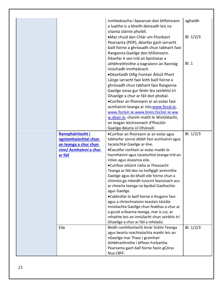|                                                                                                         | inmheánacha i bpearsan don bhfoireann<br>a luaithe is a bheith deireadh leis na                                                                                                                                                                                                                                                                                                                                                                                                                                                                                                                                            | aghaidh     |
|---------------------------------------------------------------------------------------------------------|----------------------------------------------------------------------------------------------------------------------------------------------------------------------------------------------------------------------------------------------------------------------------------------------------------------------------------------------------------------------------------------------------------------------------------------------------------------------------------------------------------------------------------------------------------------------------------------------------------------------------|-------------|
|                                                                                                         | srianta sláinte phoiblí.<br>•Mar chuid den Chlár um Fhorbairt<br>Pearsanta (PDP), déanfar gach iarracht<br>baill foirne a ghríosadh chun tabhairt faoi<br>Ranganna Gaeilge don bhfoireann.                                                                                                                                                                                                                                                                                                                                                                                                                                 | Bl. $1/2/3$ |
|                                                                                                         | Déanfar é seo tríd an bpróiseas a<br>athbhreithnithe a eagraíonn an Rannóg<br>Iniúchadh Inmheánach.<br>•Déanfaidh Oifig Fiontair Áitiúil Phort<br>Láirge iarracht faoi leith baill foirne a<br>ghríosadh chun tabhairt faoi Ranganna<br>Gaeilge ionas gur féidir leo seirbhísí trí<br>Ghaeilge a chur ar fáil don phobal.<br>•Cuirfear an fhoireann ar an eolas faoi<br>acmhainní teanga ar nós; www.focal.ie,                                                                                                                                                                                                             | BI.1        |
|                                                                                                         | www.focloir.ie, www.breis.focloir.ie, ww<br>w.abair.ie, chomh maith le WinGléacht,<br>an leagan leictreonach d'fhoclóir<br>Gaeilge-Béarla Uí Dhónaill.                                                                                                                                                                                                                                                                                                                                                                                                                                                                     |             |
| Rannpháirtíocht i<br>ngníomhaíochtaí chun<br>an teanga a chur chun<br>cinn/ Acmhainní a chur<br>ar fáil | •Cuirfear an fhoireann ar an eolas agus<br>tabharfar sonraí dóibh faoi acmhainní agus<br>tacaíochtaí Gaeilge ar-líne.<br>•Éascófar rochtain ar eolas maidir le<br>hacmhainní agus tacaíochtaí teanga tríd an<br>inlíon agus áiseanna eile.<br>•Cuirfear oiliúint rialta ar Fheasacht<br>Teanga ar fáil dos na hoifigigh ainmnithe<br>Gaeilge agus do bhaill eile foirne chun a<br>chinntiú go mbeidh tuiscint leanúnach acu<br>ar chearta teanga na bpobal Gaeltachta<br>agus Gaeilge.<br>•Cabhrófar le baill foirne a thugann faoi<br>agus a chríochnaíonn teastais tástála<br>inniúlachta Gaeilge chun feabhas a chur ar | Bl. $1/2/3$ |
|                                                                                                         | a gcuid scileanna teanga, mar is cuí, ar<br>mhaithe leis an inniúlacht chun seirbhís trí<br>Ghaeilge a chur ar fáil a mhéadú.                                                                                                                                                                                                                                                                                                                                                                                                                                                                                              |             |
| Eile                                                                                                    | Beidh comhlíontacht lenár Scéim Teanga<br>agus bearta reachtaíochta maidir leis an<br>nGaeilge mar Thasc i gcomhair<br>Athbhreithnithe i bPlean Forbartha<br>Pearsanta gach ball foirne faoin gCóras<br>Nua CBFF.                                                                                                                                                                                                                                                                                                                                                                                                          | Bl. $1/2/3$ |
|                                                                                                         |                                                                                                                                                                                                                                                                                                                                                                                                                                                                                                                                                                                                                            |             |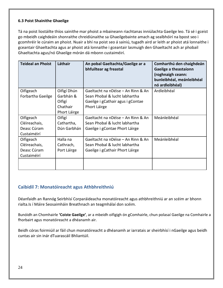## <span id="page-23-0"></span>**6.3 Poist Shainithe Ghaeilge**

Tá na poist liostáilte thíos sainithe mar phoist a mbaineann riachtanas inniúlachta Gaeilge leo. Tá sé i gceist go mbeidh caighdeáin shonraithe chreidiúnaithe sa Ghaeilgebainte amach ag sealbhóirí na bpost seo i gcomhréir le cúraim an phoist. Nuair a bhí na poist seo á sainiú, tugadh aird ar leith ar phoist atá lonnaithe i gceantair Ghaeltachta agus ar phoist atá lonnaithe i gceantair lasmuigh den Ghaeltacht ach ar phobail Ghaeltachta agus/nó Ghaeilge mórán dá mbonn custaiméirí.

| <b>Teideal an Phoist</b>                                 | Láthair                                                        | An pobal Gaeltachta/Gaeilge ar a<br>bhfuiltear ag freastal                                                               | Comharthú den chaighdeán<br>Gaeilge a theastaíonn<br>(roghnaigh ceann:<br>bunleibhéal, meánleibhéal<br>nó ardleibhéal) |
|----------------------------------------------------------|----------------------------------------------------------------|--------------------------------------------------------------------------------------------------------------------------|------------------------------------------------------------------------------------------------------------------------|
| Oifigeach<br>Forbartha Gaeilge                           | Oifigí Dhún<br>Garbhán &<br>Oifigí<br>Chathair<br>Phort Láirge | Gaeltacht na nDéise - An Rinn & An<br>Sean Phobal & lucht labhartha<br>Gaeilge i gCathair agus i gContae<br>Phort Láirge | Ardleibhéal                                                                                                            |
| Oifigeach<br>Cléireachais,<br>Deasc Cúram<br>Custaiméirí | Oifigí<br>Cathartha,<br>Dún Garbhán                            | Gaeltacht na nDéise – An Rinn & An<br>Sean Phobal & lucht labhartha<br>Gaeilge i gContae Phort Láirge                    | Meánleibhéal                                                                                                           |
| Oifigeach<br>Cléireachais,<br>Deasc Cúram<br>Custaiméirí | Halla na<br>Cathrach,<br>Port Láirge                           | Gaeltacht na nDéise - An Rinn & An<br>Sean Phobal & lucht labhartha<br>Gaeilge i gCathair Phort Láirge                   | Meánleibhéal                                                                                                           |

## <span id="page-23-1"></span>**Caibidil 7: Monatóireacht agus Athbhreithniú**

Déanfaidh an Rannóg Seirbhísí Corparáideacha monatóireacht agus athbhreithniú ar an scéim ar bhonn rialta.Is í Máire Seosaimháin Breathnach an teagmhálaí don scéim.

Bunóidh an Chomhairle **'Coiste Gaeilge'**, ar a mbeidh oifigigh ón gComhairle, chun polasaí Gaeilge na Comhairle a fhorbairt agus monatóireacht a dhéanamh air.

<span id="page-23-2"></span>Beidh córas foirmiúil ar fáil chun monatóireacht a dhéanamh ar iarratais ar sheirbhísí i nGaeilge agus beidh cuntas air sin inár dTuarascáil Bhliantúil.